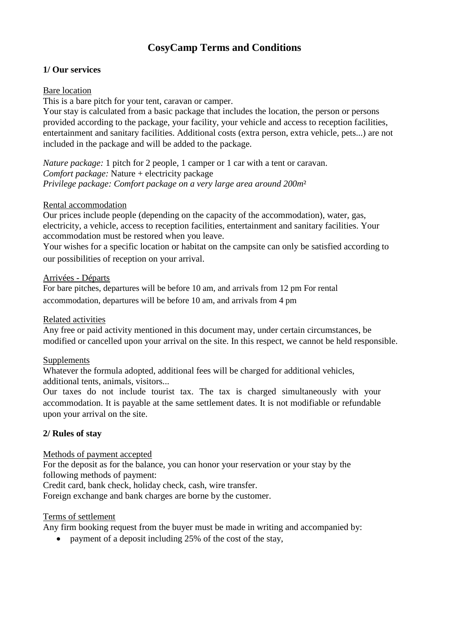# **CosyCamp Terms and Conditions**

### **1/ Our services**

#### Bare location

This is a bare pitch for your tent, caravan or camper.

Your stay is calculated from a basic package that includes the location, the person or persons provided according to the package, your facility, your vehicle and access to reception facilities, entertainment and sanitary facilities. Additional costs (extra person, extra vehicle, pets...) are not included in the package and will be added to the package.

*Nature package:* 1 pitch for 2 people, 1 camper or 1 car with a tent or caravan. *Comfort package:* Nature + electricity package *Privilege package: Comfort package on a very large area around 200m*²

#### Rental accommodation

Our prices include people (depending on the capacity of the accommodation), water, gas, electricity, a vehicle, access to reception facilities, entertainment and sanitary facilities. Your accommodation must be restored when you leave.

Your wishes for a specific location or habitat on the campsite can only be satisfied according to our possibilities of reception on your arrival.

#### Arrivées - Départs

For bare pitches, departures will be before 10 am, and arrivals from 12 pm For rental accommodation, departures will be before 10 am, and arrivals from 4 pm

### Related activities

Any free or paid activity mentioned in this document may, under certain circumstances, be modified or cancelled upon your arrival on the site. In this respect, we cannot be held responsible.

## Supplements

Whatever the formula adopted, additional fees will be charged for additional vehicles, additional tents, animals, visitors...

Our taxes do not include tourist tax. The tax is charged simultaneously with your accommodation. It is payable at the same settlement dates. It is not modifiable or refundable upon your arrival on the site.

## **2/ Rules of stay**

Methods of payment accepted

For the deposit as for the balance, you can honor your reservation or your stay by the following methods of payment:

Credit card, bank check, holiday check, cash, wire transfer.

Foreign exchange and bank charges are borne by the customer.

## Terms of settlement

Any firm booking request from the buyer must be made in writing and accompanied by:

• payment of a deposit including 25% of the cost of the stay,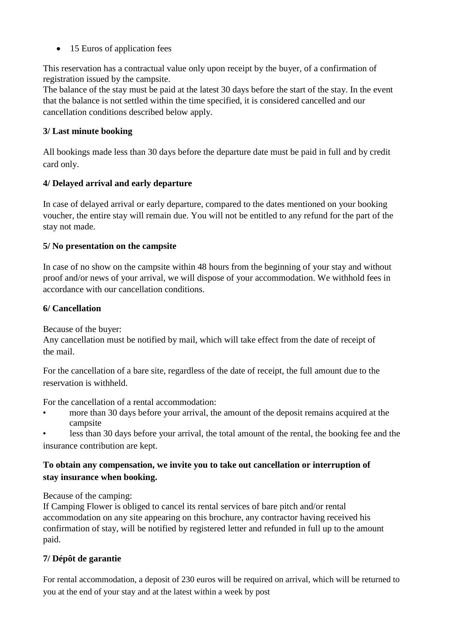• 15 Euros of application fees

This reservation has a contractual value only upon receipt by the buyer, of a confirmation of registration issued by the campsite.

The balance of the stay must be paid at the latest 30 days before the start of the stay. In the event that the balance is not settled within the time specified, it is considered cancelled and our cancellation conditions described below apply.

# **3/ Last minute booking**

All bookings made less than 30 days before the departure date must be paid in full and by credit card only.

# **4/ Delayed arrival and early departure**

In case of delayed arrival or early departure, compared to the dates mentioned on your booking voucher, the entire stay will remain due. You will not be entitled to any refund for the part of the stay not made.

# **5/ No presentation on the campsite**

In case of no show on the campsite within 48 hours from the beginning of your stay and without proof and/or news of your arrival, we will dispose of your accommodation. We withhold fees in accordance with our cancellation conditions.

# **6/ Cancellation**

Because of the buyer:

Any cancellation must be notified by mail, which will take effect from the date of receipt of the mail.

For the cancellation of a bare site, regardless of the date of receipt, the full amount due to the reservation is withheld.

For the cancellation of a rental accommodation:

- more than 30 days before your arrival, the amount of the deposit remains acquired at the campsite
- less than 30 days before your arrival, the total amount of the rental, the booking fee and the insurance contribution are kept.

# **To obtain any compensation, we invite you to take out cancellation or interruption of stay insurance when booking.**

Because of the camping:

If Camping Flower is obliged to cancel its rental services of bare pitch and/or rental accommodation on any site appearing on this brochure, any contractor having received his confirmation of stay, will be notified by registered letter and refunded in full up to the amount paid.

# **7/ Dépôt de garantie**

For rental accommodation, a deposit of 230 euros will be required on arrival, which will be returned to you at the end of your stay and at the latest within a week by post